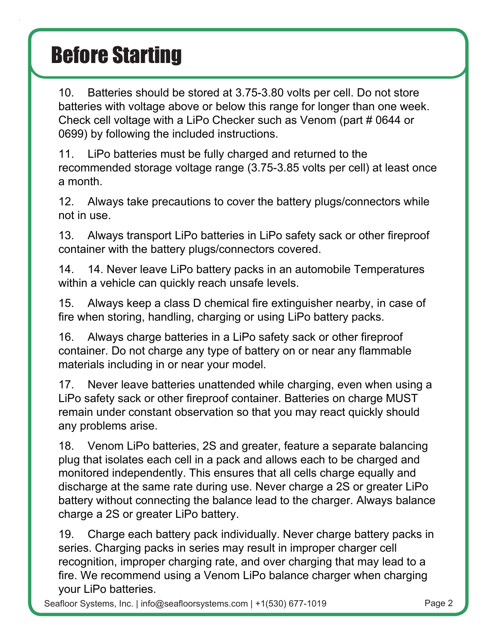10. Batteries should be stored at 3.75-3.80 volts per cell. Do not store  $\Box$ batteries with voltage above or below this range for longer than one week.  $\square$ Check cell voltage with a LiPo Checker such as Venom (part  $\#$  0644 or  $\Box$ 0699) by following the included instructions.

 $\Box$  LiPo batteries must be fully charged and returned to the  $\Box$ recommended storage voltage range (3.75-3.85 volts per cell) at least once□ a month.

 $\Box$  Always take precautions to cover the battery plugs/connectors while  $\Box$ not in use.

 $\Box$  Always transport LiPo batteries in LiPo safety sack or other fireproof $\Box$ container with the battery plugs/connectors covered.

 $\Box$  Never leave LiPo battery packs in an automobile. Temperatures  $\Box$ within a vehicle can quickly reach unsafe levels.

 $\Box$  Always keep a class D chemical fire extinguisher nearby, in case of  $\Box$ fire when storing, handling, charging, or using LiPo battery packs.

 $\Box$  Always charge batteries in a LiPo safety sack or other fireproof  $\Box$ container. Do not charge any type of battery on or near any flammable materials including in or near your model.

 **Never leave batteries unattended while charging, even when using a LiPo safety sack or other fireproof container. Batteries on charge MUST remain under constant observation so that you may react quickly should any problems arise.**

**.** Venom LiPo batteries, 2S and greater, feature a separate balancing plug that isolates each cell in a pack and allows each to be charged and  $\Box$ monitored independently. This ensures that all cells charge equally and discharge at the same rate during use. Never charge a 2S or greater LiPo $\Box$ battery without connecting the balance lead to the charger. Always balance  $\Box$ charge a 2S or greater LiPo battery.

 $\Box$  Charge each battery pack individually. Never charge battery packs in  $\Box$ series. Charging packs in series may result in improper charger cell recognition, improper charging rate, and over charging that may lead to  $a \Box$ fire. We recommend using a Venom LiPo balance charger when charging  $\Box$ your LiPo batteries.

Seafloor Systems, Inc. | info@seafloorsystems.com | +1(530) 677-1019 Page 2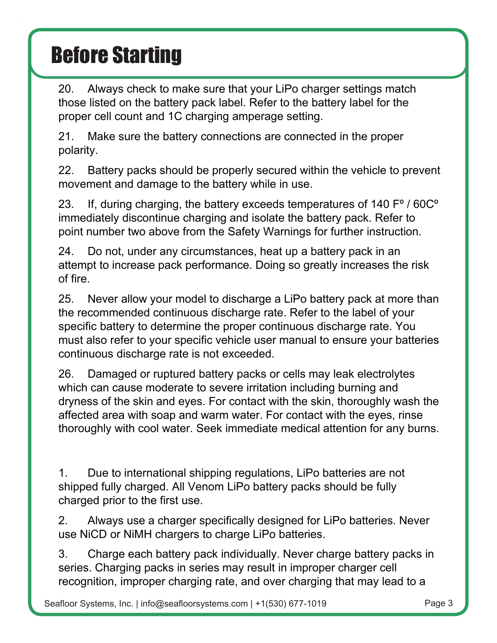20. Always check to make sure that your LiPo charger settings match those listed on the battery pack label. Refer to the battery label for the proper cell count and 1C charging amperage setting.

21. Make sure the battery connections are connected in the proper polarity.

22. Battery packs should be properly secured within the vehicle to prevent movement and damage to the battery while in use.

23. If, during charging, the battery exceeds temperatures of 140 Fº / 60Cº immediately discontinue charging and isolate the battery pack. Refer to point number two above from the Safety Warnings for further instruction.

24. Do not, under any circumstances, heat up a battery pack in an attempt to increase pack performance. Doing so greatly increases the risk of fire.

25. Never allow your model to discharge a LiPo battery pack at more than the recommended continuous discharge rate. Refer to the label of your specific battery to determine the proper continuous discharge rate. You must also refer to your specific vehicle user manual to ensure your batteries continuous discharge rate is not exceeded.

26. Damaged or ruptured battery packs or cells may leak electrolytes which can cause moderate to severe irritation including burning and dryness of the skin and eyes. For contact with the skin, thoroughly wash the affected area with soap and warm water. For contact with the eyes, rinse thoroughly with cool water. Seek immediate medical attention for any burns.

#### **Failure to observe any of the following precautions can result in fire, explosion and cause personal injury.**

1. Due to international shipping regulations, LiPo batteries are not shipped fully charged. All Venom LiPo battery packs should be fully charged prior to the first use.

2. Always use a charger specifically designed for LiPo batteries. Never use NiCD or NiMH chargers to charge LiPo batteries.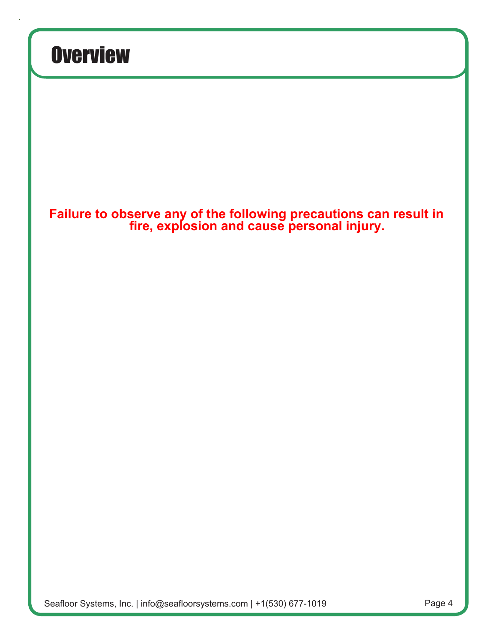#### **Important Information Regarding Charging & Safety Warnings**

1. Make sure the battery connections are connected in the proper polarity.

2. Always check to make sure that your LiPo charger settings match those listed on the battery pack label. Refer to the battery label for the proper cell count and 1C charging amperage setting.

3. For the longest lifecycle and most thorough charging of your LiPo battery we recommend a 1C charge rate. Batteries that are properly maintained have an average lifespan of 150-250 charge cycles. Many Venom batteries are capable of higher charge rates to reduce charge times. While your charge time will be greatly reduced, the lifespan of your pack will also be reduced with repeated charging above 1C. Always confirm and follow your specific packs maximum charge rate as shown on the battery label.

4. Do not charge LiPo batteries to more than 4.2 Volts per cell for normal voltage batteries, or 4.35 Volts per cell for High Voltage (LiHV) LiPo batteries. Refer to the label of your specific battery for maximum cell and pack voltage.

#### **Important Information Regarding Over-discharge & Safety Warnings**

1. Do not use LiPo battery packs with any device that does not have over-discharge protection, which is turned on and properly calibrated. Over-discharge protection or low voltage cut-off (LVC) should be set to no lower than 3.0V per cell.

2. Batteries should be stored at 3.75-3.80 volts per cell. Do not store batteries with voltage above or below this range for longer than one week.

3. LiPo batteries must be fully charged and returned to the recommended storage voltage range (3.75-3.85 volts per cell) at least once a month.

4. Do not discharge LiPo batteries below 3.0 Volts per cell.

5. ual to ensure your batteries continuous discharge rate is not exceeded.